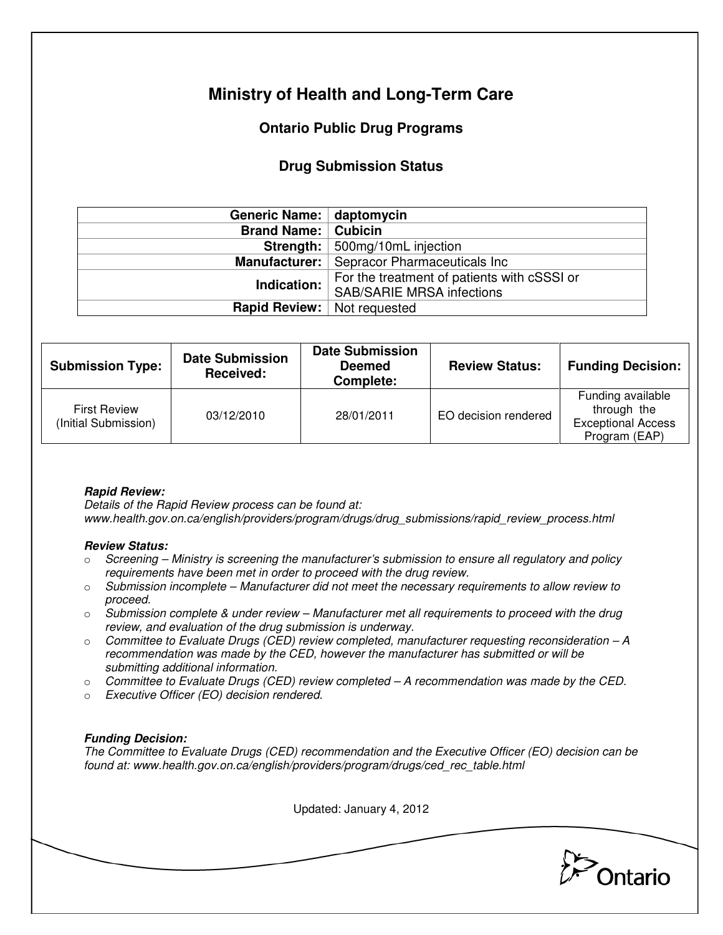# **Ministry of Health and Long-Term Care**

## **Ontario Public Drug Programs**

### **Drug Submission Status**

| Generic Name: daptomycin             |                                                                                 |  |  |
|--------------------------------------|---------------------------------------------------------------------------------|--|--|
| <b>Brand Name:   Cubicin</b>         |                                                                                 |  |  |
|                                      | <b>Strength:</b> 500mg/10mL injection                                           |  |  |
|                                      | Manufacturer:   Sepracor Pharmaceuticals Inc                                    |  |  |
| Indication:                          | For the treatment of patients with cSSSI or<br><b>SAB/SARIE MRSA infections</b> |  |  |
| <b>Rapid Review:</b>   Not requested |                                                                                 |  |  |

| <b>Submission Type:</b>                     | <b>Date Submission</b><br><b>Received:</b> | <b>Date Submission</b><br><b>Deemed</b><br>Complete: | <b>Review Status:</b> | <b>Funding Decision:</b>                                                       |
|---------------------------------------------|--------------------------------------------|------------------------------------------------------|-----------------------|--------------------------------------------------------------------------------|
| <b>First Review</b><br>(Initial Submission) | 03/12/2010                                 | 28/01/2011                                           | EO decision rendered  | Funding available<br>through the<br><b>Exceptional Access</b><br>Program (EAP) |

### **Rapid Review:**

Details of the Rapid Review process can be found at: www.health.gov.on.ca/english/providers/program/drugs/drug\_submissions/rapid\_review\_process.html

#### **Review Status:**

- $\circ$  Screening Ministry is screening the manufacturer's submission to ensure all regulatory and policy requirements have been met in order to proceed with the drug review.
- $\circ$  Submission incomplete Manufacturer did not meet the necessary requirements to allow review to proceed.
- $\circ$  Submission complete & under review Manufacturer met all requirements to proceed with the drug review, and evaluation of the drug submission is underway.
- $\circ$  Committee to Evaluate Drugs (CED) review completed, manufacturer requesting reconsideration  $-A$ recommendation was made by the CED, however the manufacturer has submitted or will be submitting additional information.
- $\circ$  Committee to Evaluate Drugs (CED) review completed A recommendation was made by the CED.
- o Executive Officer (EO) decision rendered.

### **Funding Decision:**

The Committee to Evaluate Drugs (CED) recommendation and the Executive Officer (EO) decision can be found at: www.health.gov.on.ca/english/providers/program/drugs/ced\_rec\_table.html

Updated: January 4, 2012